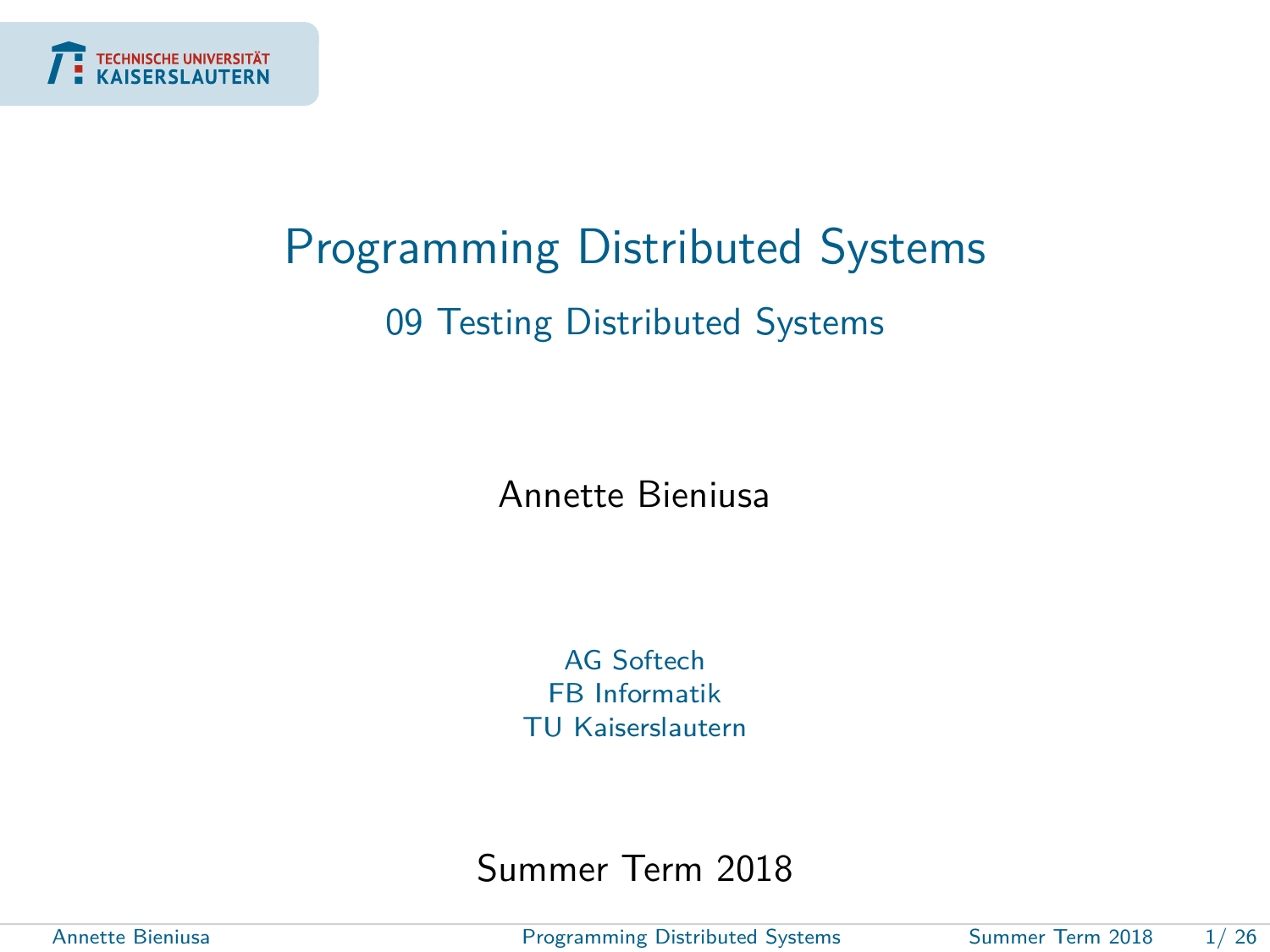<span id="page-0-0"></span>

## Programming Distributed Systems 09 Testing Distributed Systems

Annette Bieniusa

AG Softech FB Informatik TU Kaiserslautern

Summer Term 2018

Annette Bieniusa [Programming Distributed Systems](#page-25-0) Summer Term 2018 1/ 26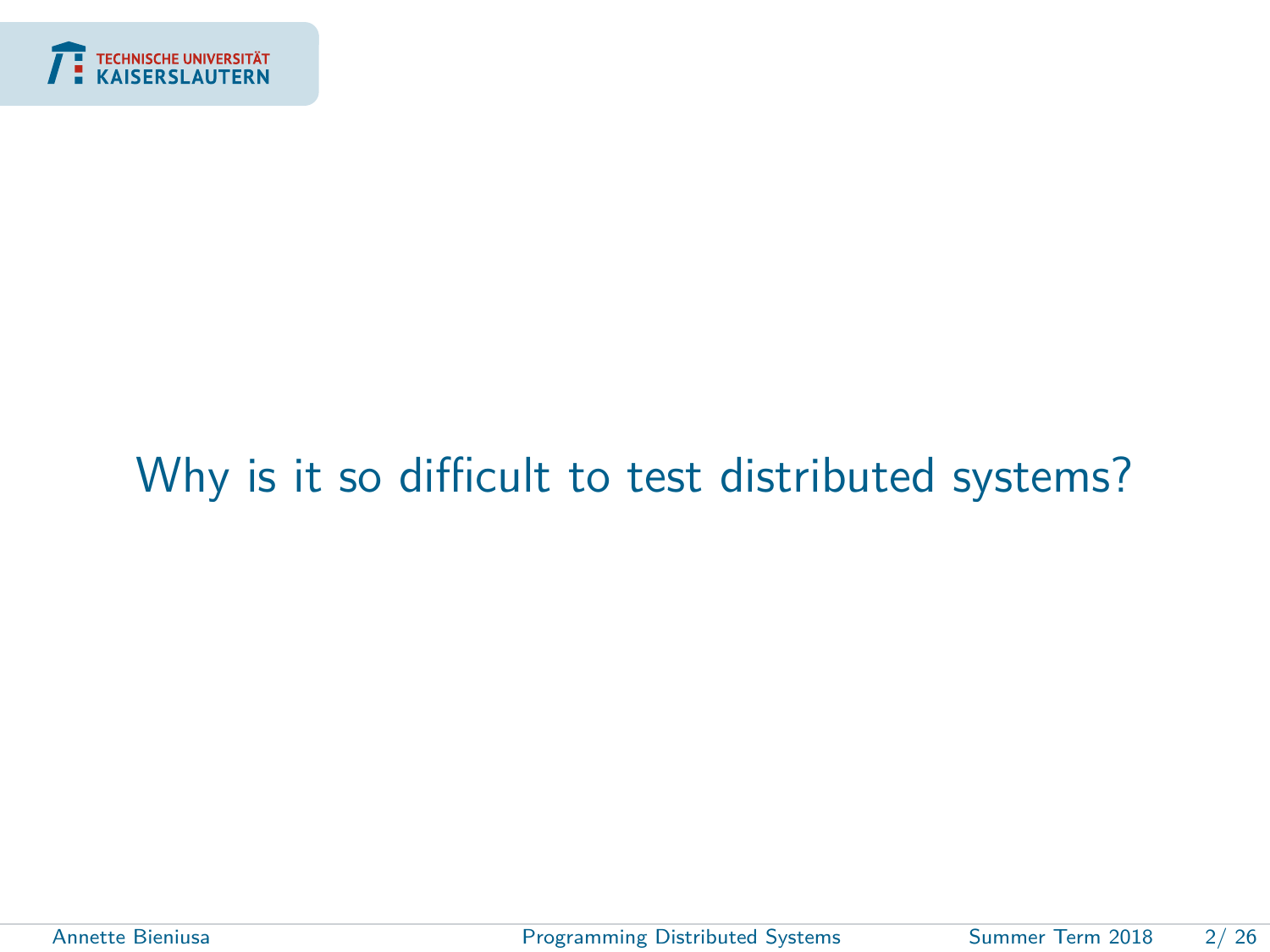<span id="page-1-0"></span>

### [Why is it so difficult to test distributed systems?](#page-1-0)

Annette Bieniusa **[Programming Distributed Systems](#page-0-0)** Summer Term 2018 2/26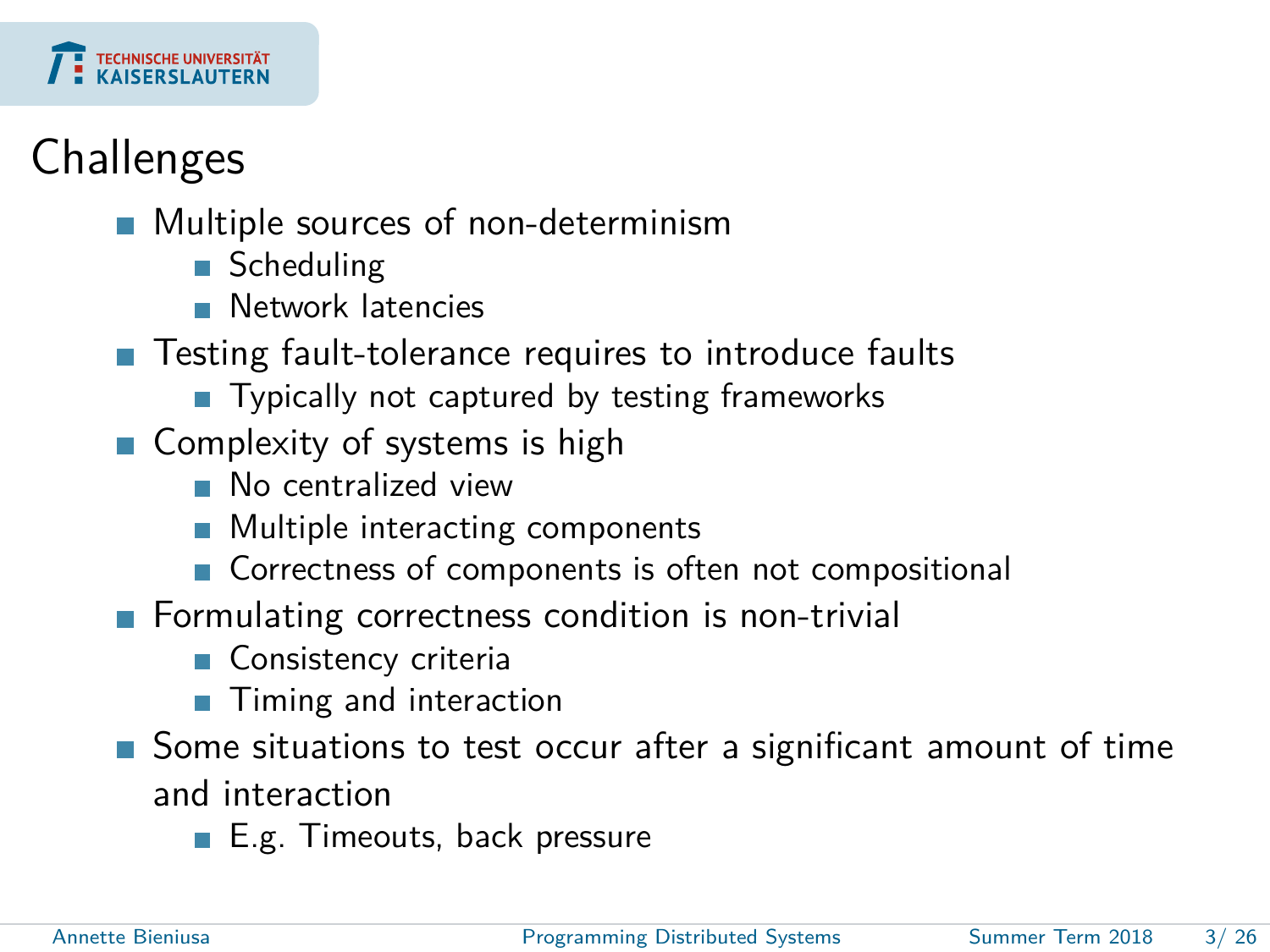

## **Challenges**

- **Multiple sources of non-determinism** 
	- Scheduling
	- **Network latencies**
- Testing fault-tolerance requires to introduce faults
	- Typically not captured by testing frameworks
- Complexity of systems is high
	- No centralized view
	- **Multiple interacting components**
	- Correctness of components is often not compositional
- Formulating correctness condition is non-trivial
	- Consistency criteria
	- Timing and interaction
- Some situations to test occur after a significant amount of time and interaction
	- E.g. Timeouts, back pressure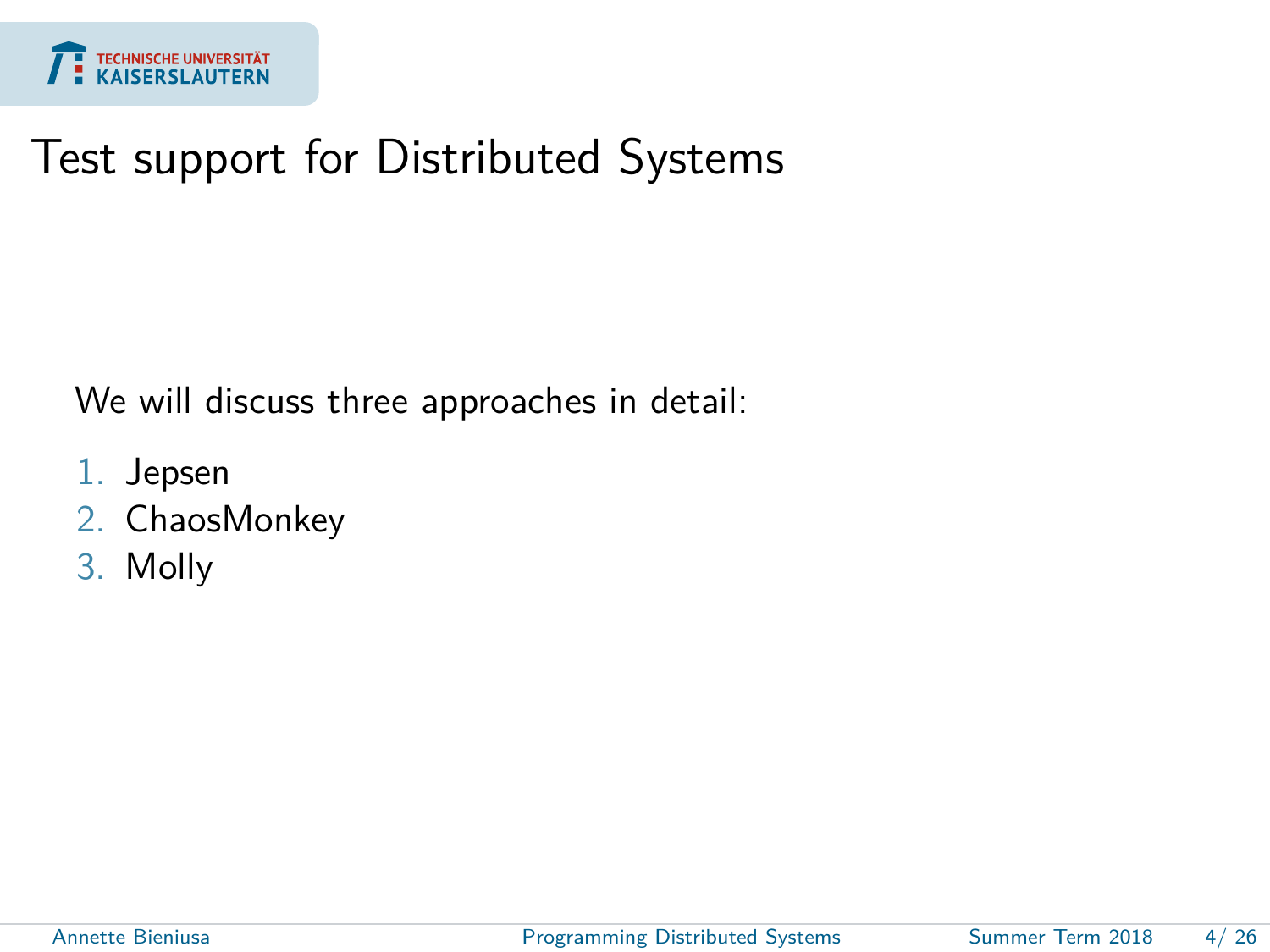

#### Test support for Distributed Systems

We will discuss three approaches in detail:

- 1. Jepsen
- 2. ChaosMonkey
- 3. Molly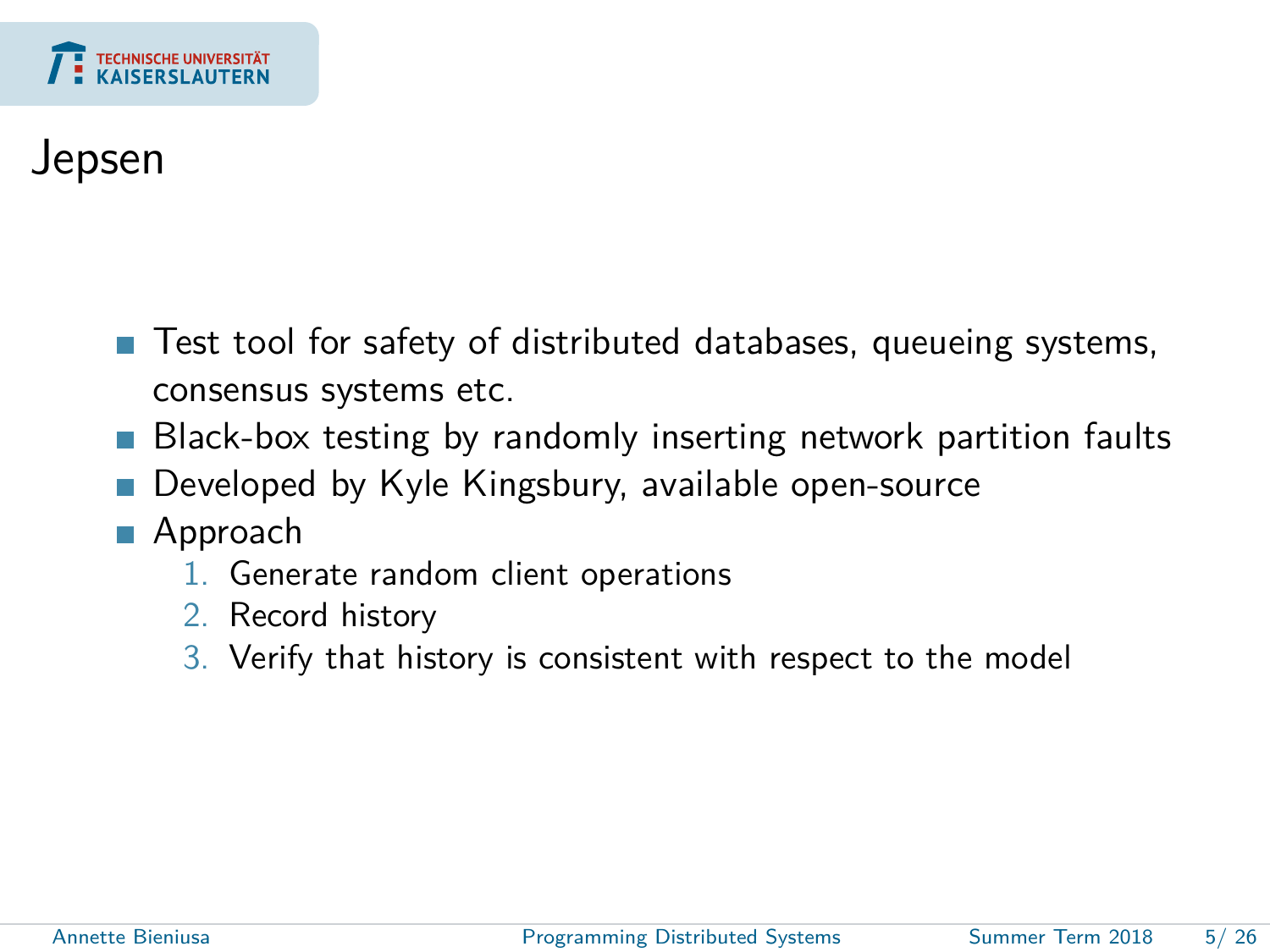

#### Jepsen

- Test tool for safety of distributed databases, queueing systems, consensus systems etc.
- Black-box testing by randomly inserting network partition faults
- Developed by Kyle Kingsbury, available open-source
- Approach
	- 1. Generate random client operations
	- 2. Record history
	- 3. Verify that history is consistent with respect to the model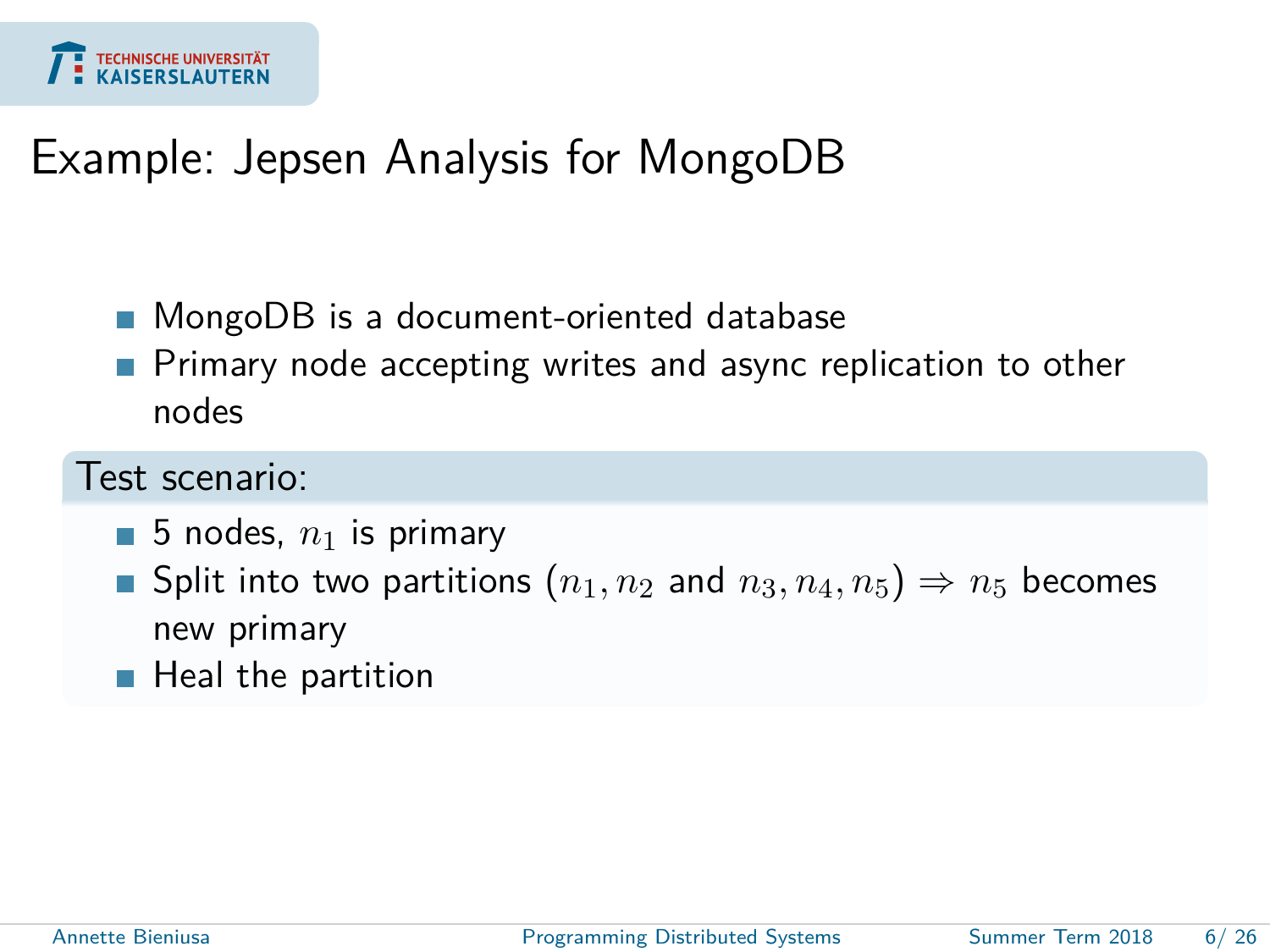

#### Example: Jepsen Analysis for MongoDB

- MongoDB is a document-oriented database
- Primary node accepting writes and async replication to other nodes

#### Test scenario:

- $\blacksquare$  5 nodes,  $n_1$  is primary
- Split into two partitions  $(n_1, n_2)$  and  $n_3, n_4, n_5$   $\Rightarrow$   $n_5$  becomes new primary
- $\blacksquare$  Heal the partition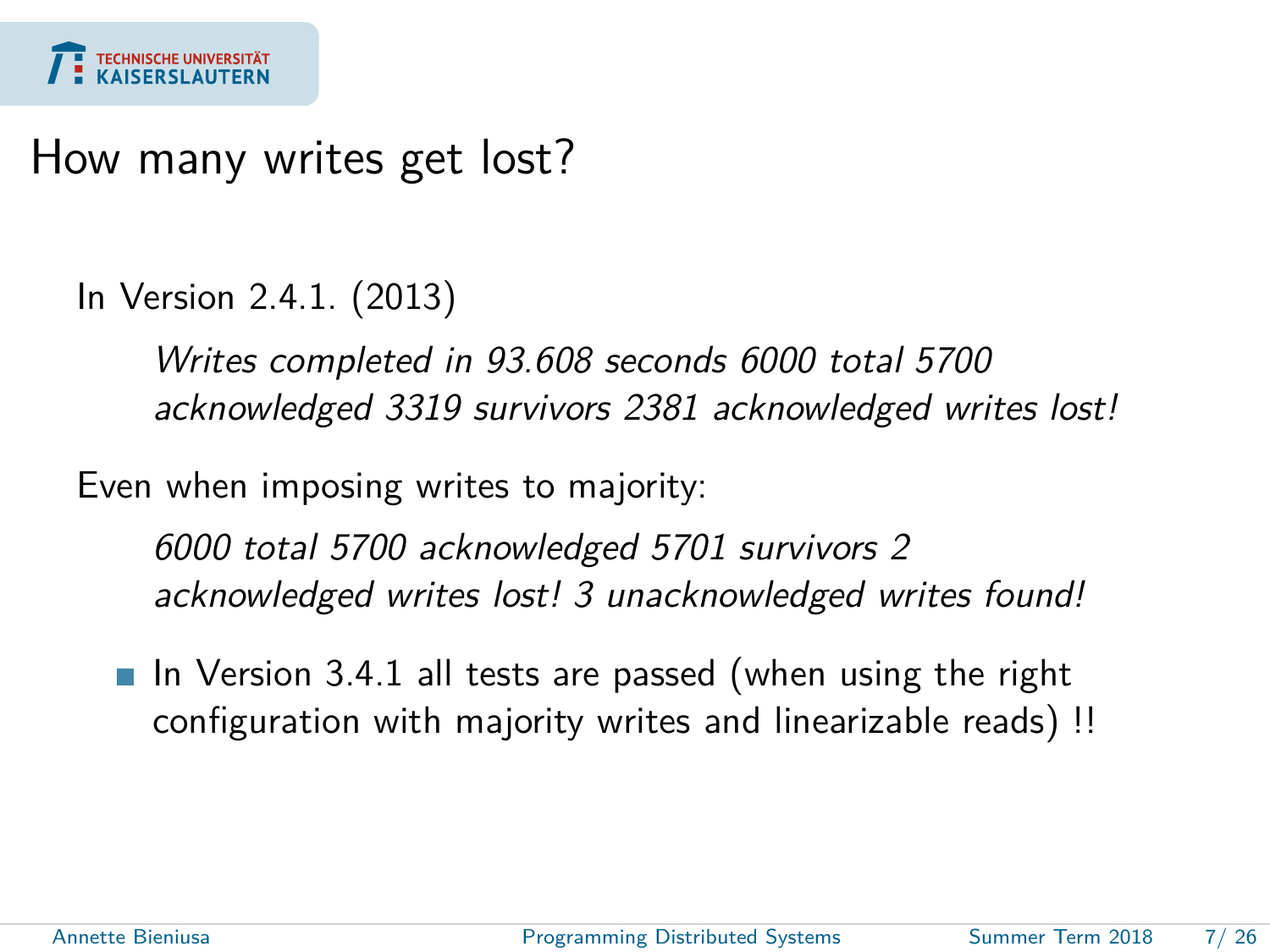

#### How many writes get lost?

In Version 2.4.1. (2013)

Writes completed in 93.608 seconds 6000 total 5700 acknowledged 3319 survivors 2381 acknowledged writes lost!

Even when imposing writes to majority:

6000 total 5700 acknowledged 5701 survivors 2 acknowledged writes lost! 3 unacknowledged writes found!

In Version 3.4.1 all tests are passed (when using the right configuration with majority writes and linearizable reads) !!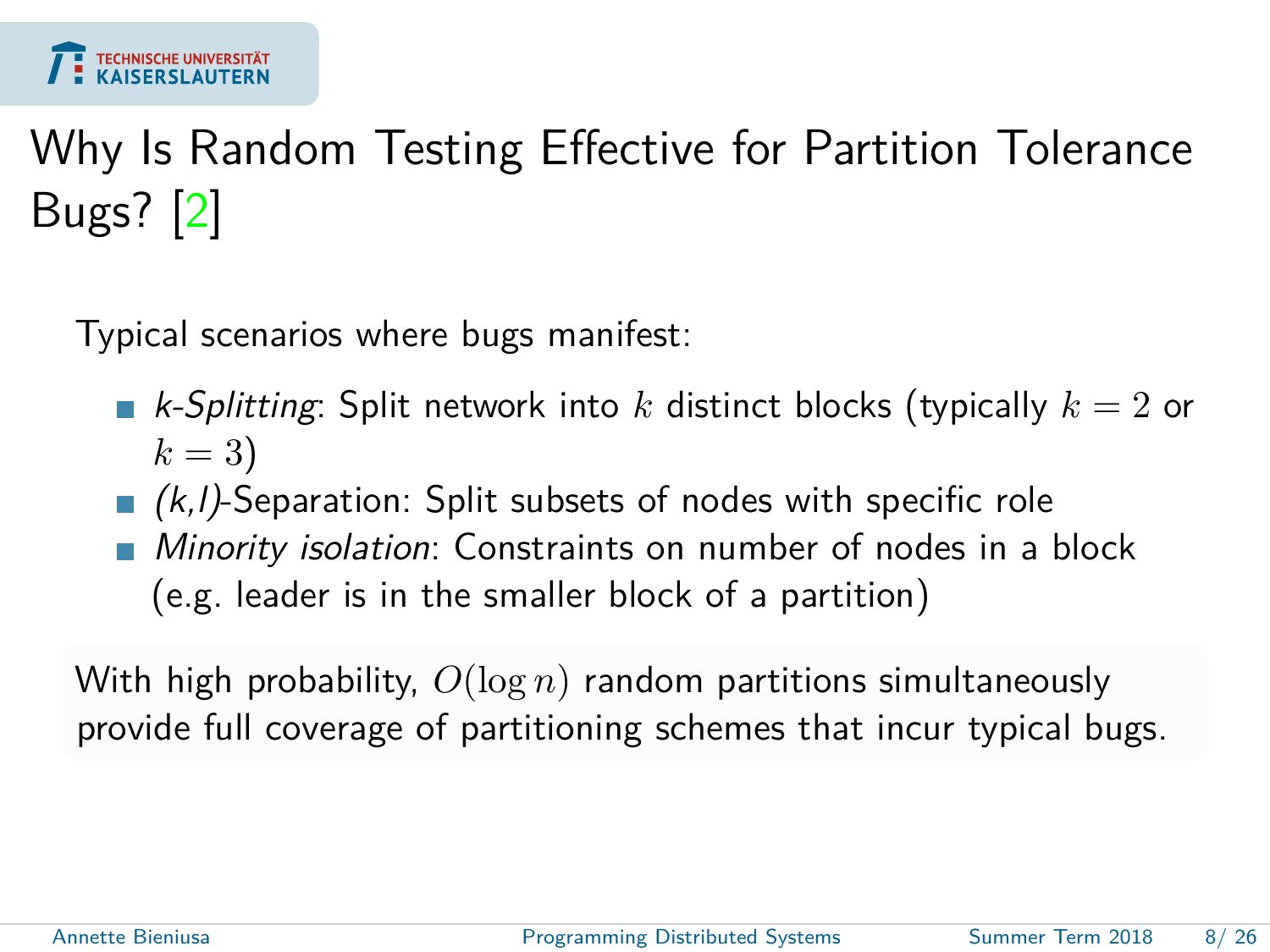

# Why Is Random Testing Effective for Partition Tolerance Bugs? [\[2\]](#page-24-0)

Typical scenarios where bugs manifest:

- k-Splitting: Split network into *k* distinct blocks (typically *k* = 2 or  $k = 3$ )
- $(k, l)$ -Separation: Split subsets of nodes with specific role
- Minority isolation: Constraints on number of nodes in a block (e.g. leader is in the smaller block of a partition)

With high probability, *O*(log *n*) random partitions simultaneously provide full coverage of partitioning schemes that incur typical bugs.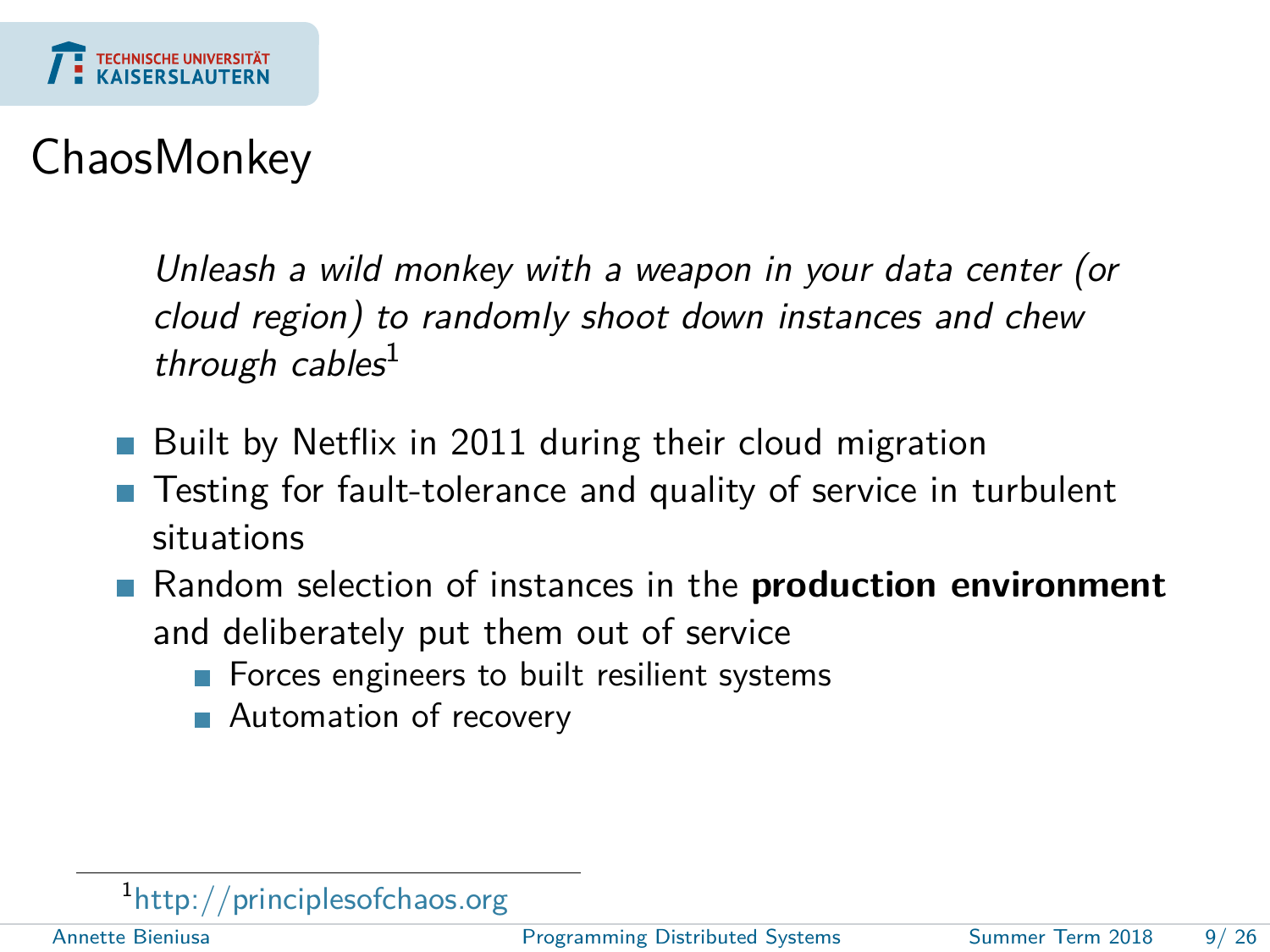

### ChaosMonkey

Unleash a wild monkey with a weapon in your data center (or cloud region) to randomly shoot down instances and chew through cables<sup>1</sup>

- Built by Netflix in 2011 during their cloud migration
- Testing for fault-tolerance and quality of service in turbulent situations
- Random selection of instances in the **production environment** and deliberately put them out of service
	- Forces engineers to built resilient systems
	- **Automation of recovery**

1 <http://principlesofchaos.org>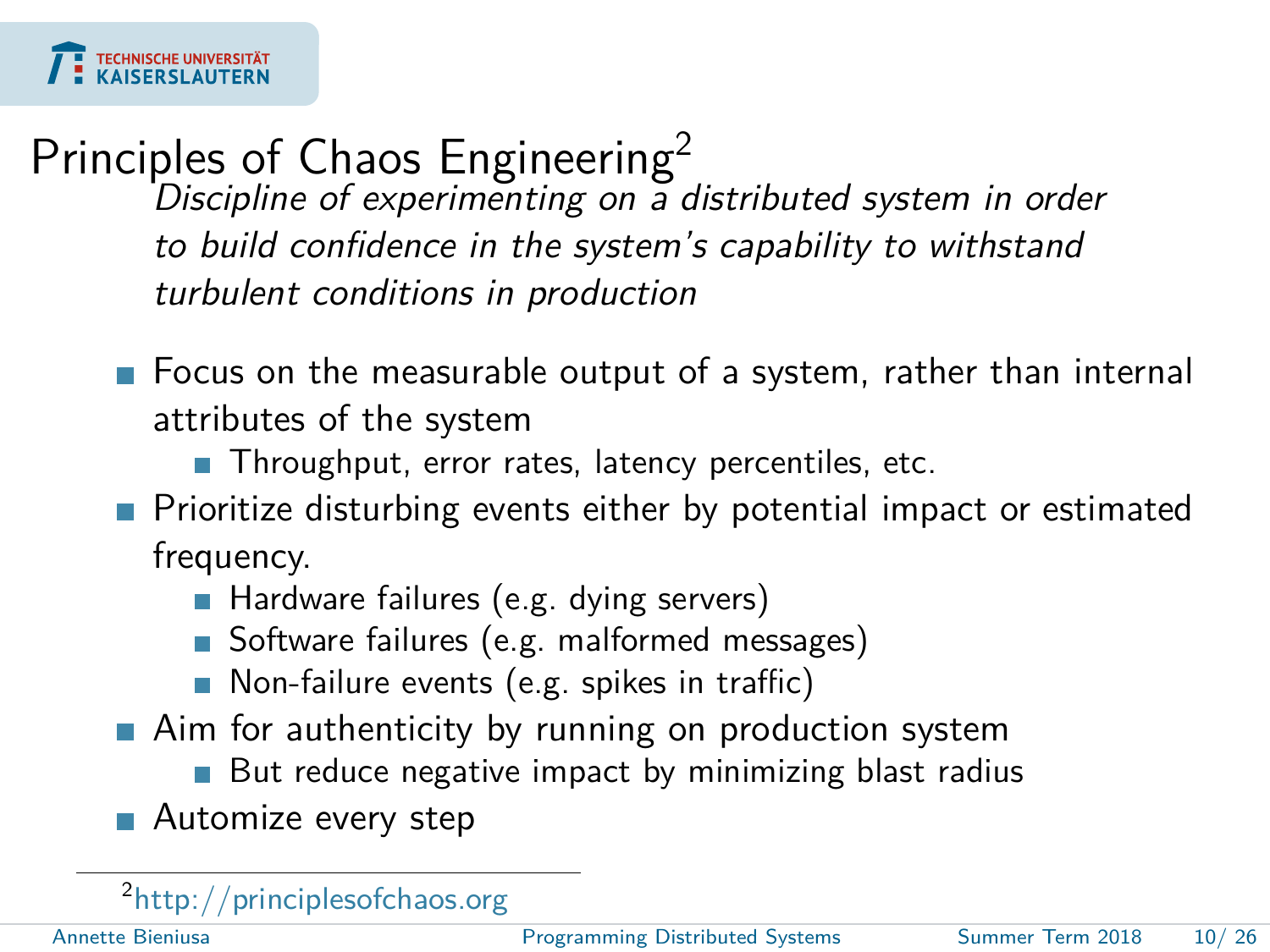# Principles of Chaos Engineering<sup>2</sup>

Discipline of experimenting on a distributed system in order to build confidence in the system's capability to withstand turbulent conditions in production

- **F** Focus on the measurable output of a system, rather than internal attributes of the system
	- Throughput, error rates, latency percentiles, etc.
- **Prioritize disturbing events either by potential impact or estimated** frequency.
	- Hardware failures (e.g. dying servers)
	- Software failures (e.g. malformed messages)
	- Non-failure events (e.g. spikes in traffic)
- **Aim for authenticity by running on production system** 
	- **But reduce negative impact by minimizing blast radius**
- **Automize every step**

<sup>2</sup><http://principlesofchaos.org>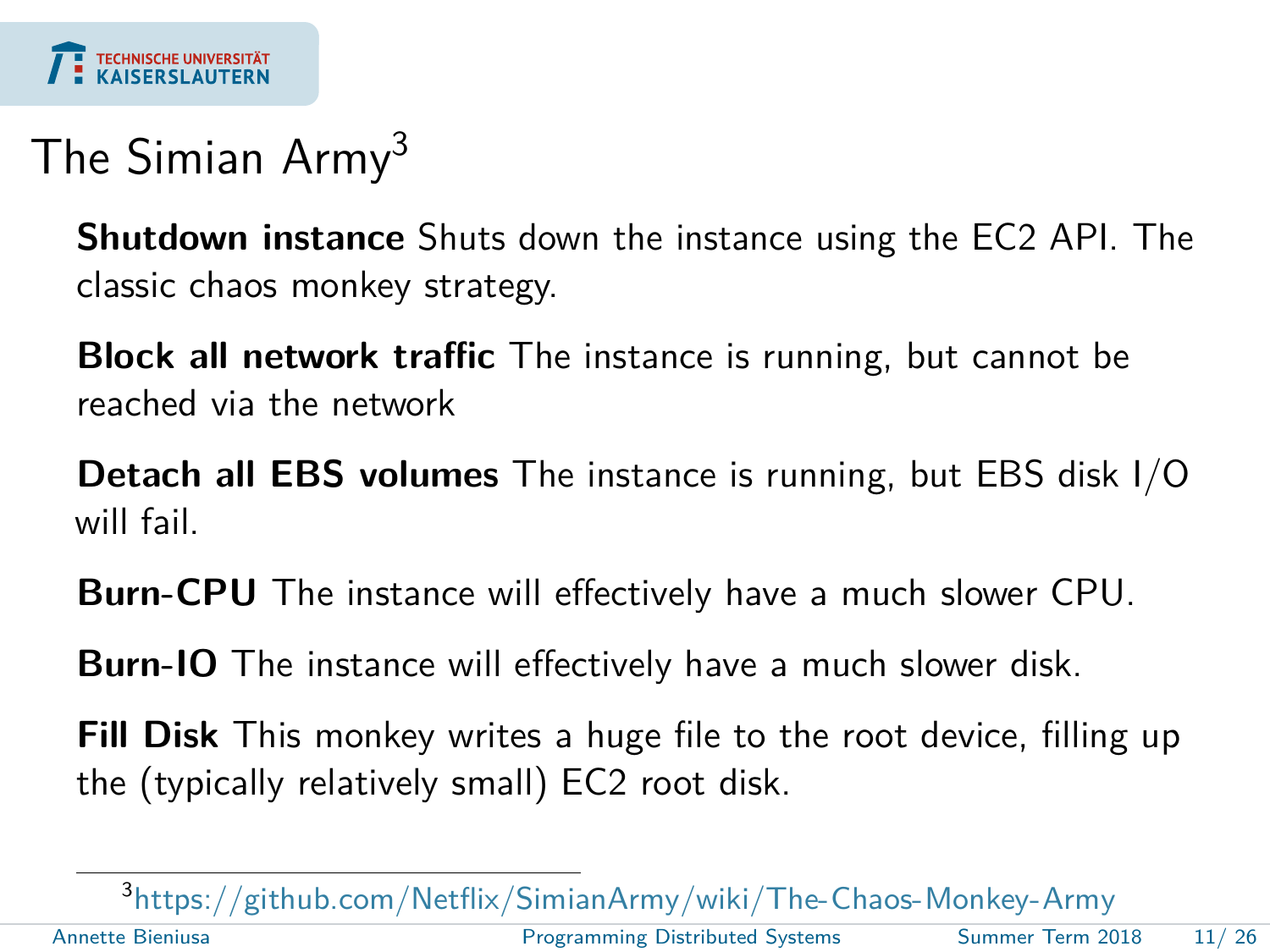

## The Simian Army<sup>3</sup>

**Shutdown instance** Shuts down the instance using the EC2 API. The classic chaos monkey strategy.

**Block all network traffic** The instance is running, but cannot be reached via the network

**Detach all EBS volumes** The instance is running, but EBS disk I/O will fail.

**Burn-CPU** The instance will effectively have a much slower CPU.

**Burn-IO** The instance will effectively have a much slower disk.

**Fill Disk** This monkey writes a huge file to the root device, filling up the (typically relatively small) EC2 root disk.

3 <https://github.com/Netflix/SimianArmy/wiki/The-Chaos-Monkey-Army> Annette Bieniusa [Programming Distributed Systems](#page-0-0) Summer Term 2018 11/ 26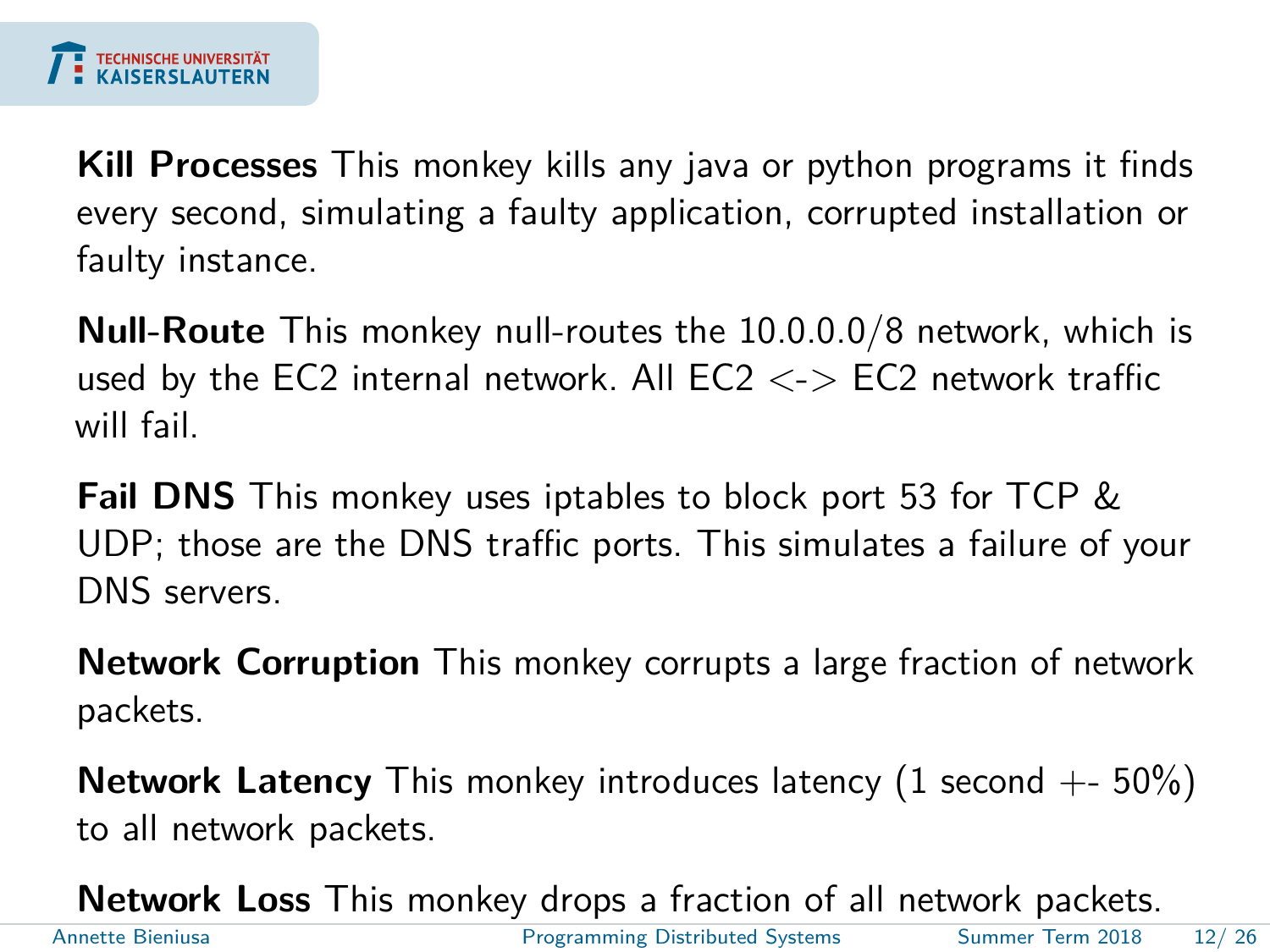

**Kill Processes** This monkey kills any java or python programs it finds every second, simulating a faulty application, corrupted installation or faulty instance.

**Null-Route** This monkey null-routes the 10.0.0.0/8 network, which is used by the EC2 internal network. All EC2  $\lt$  > EC2 network traffic will fail.

**Fail DNS** This monkey uses iptables to block port 53 for TCP & UDP; those are the DNS traffic ports. This simulates a failure of your DNS servers.

**Network Corruption** This monkey corrupts a large fraction of network packets.

**Network Latency** This monkey introduces latency (1 second +- 50%) to all network packets.

**Network Loss** This monkey drops a fraction of all network packets. Annette Bieniusa [Programming Distributed Systems](#page-0-0) Summer Term 2018 12/ 26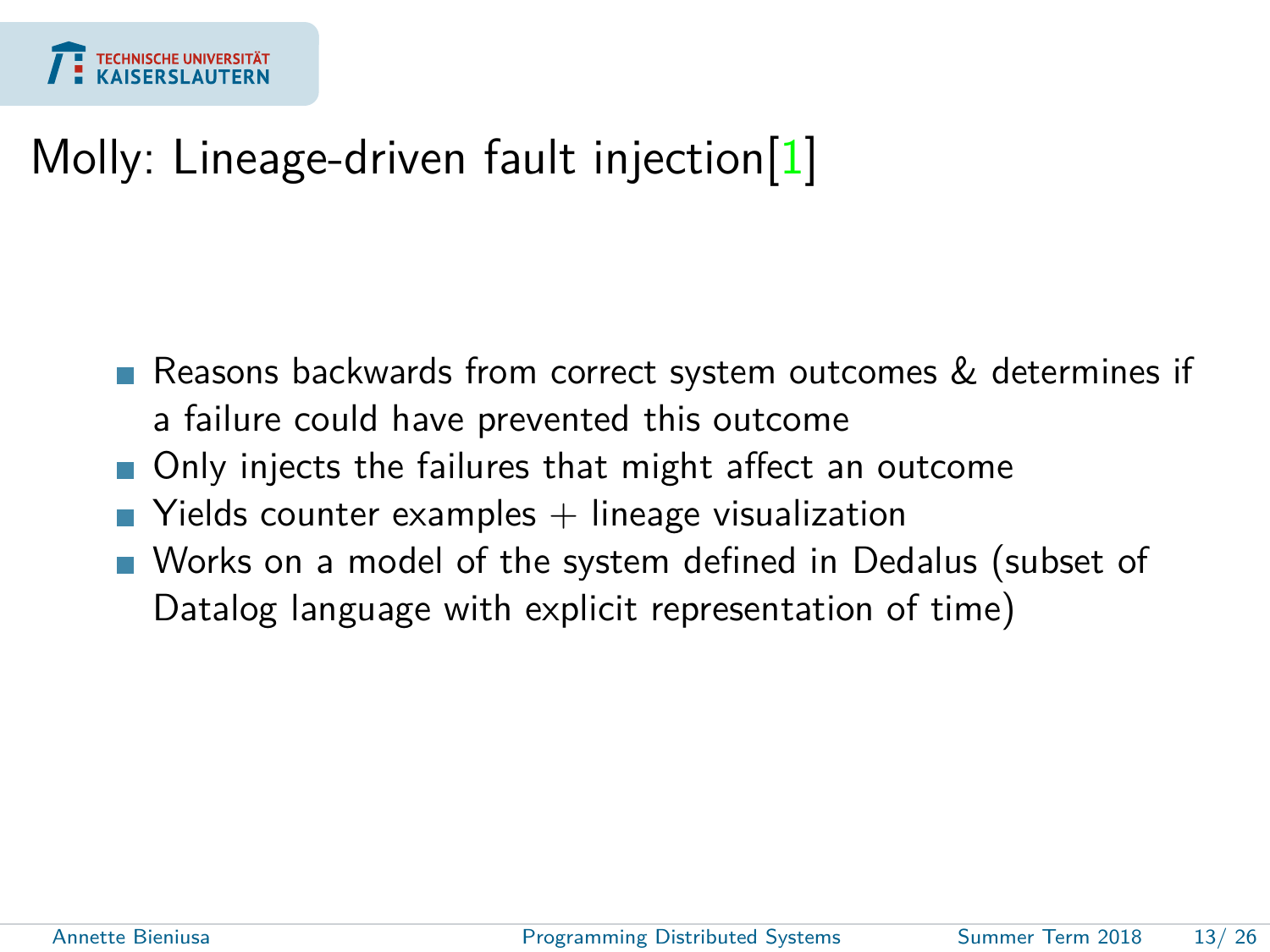

### Molly: Lineage-driven fault injection[\[1\]](#page-24-1)

- Reasons backwards from correct system outcomes & determines if a failure could have prevented this outcome
- Only injects the failures that might affect an outcome
- $\blacksquare$  Yields counter examples  $+$  lineage visualization
- Works on a model of the system defined in Dedalus (subset of Datalog language with explicit representation of time)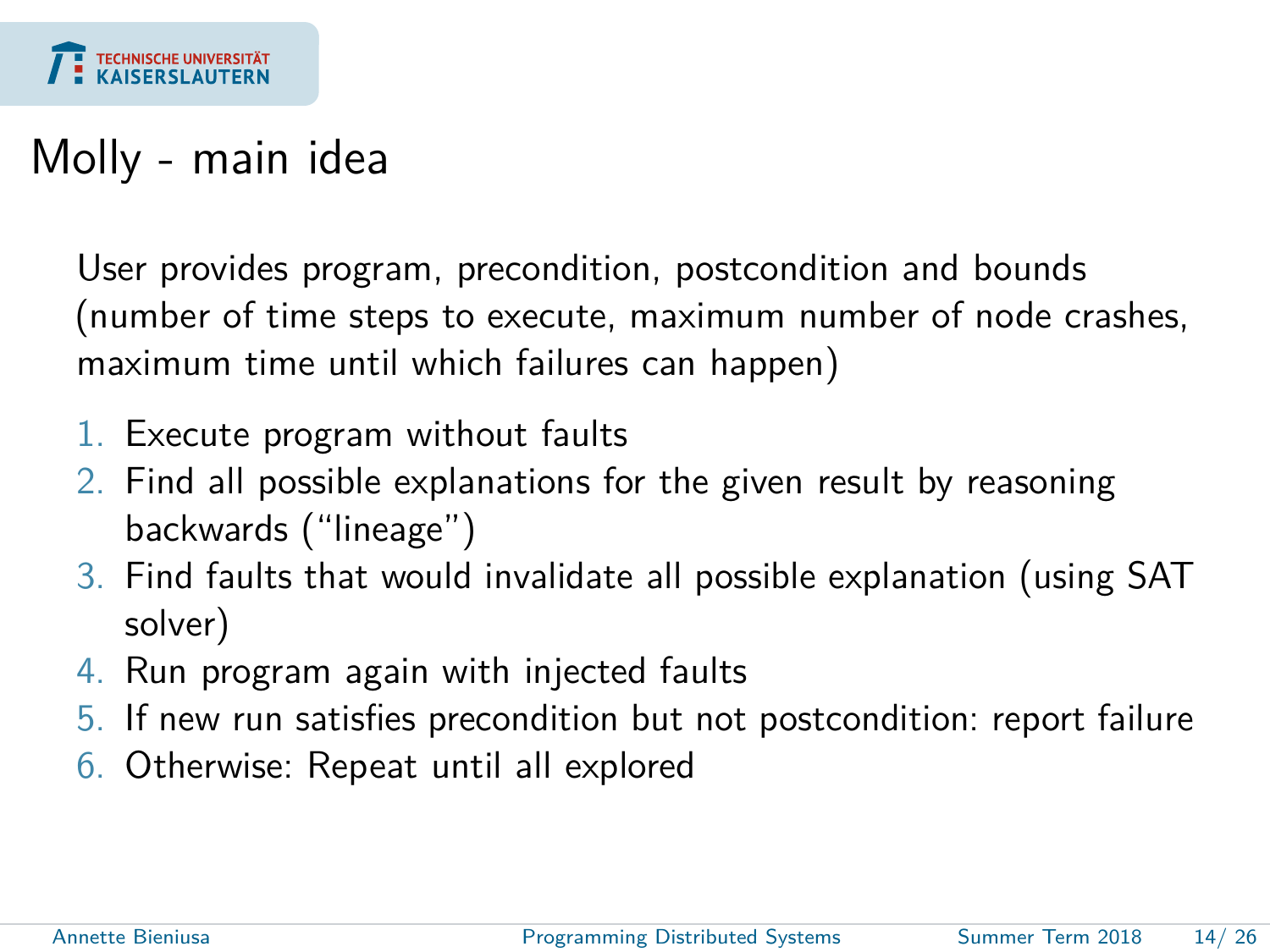

### Molly - main idea

User provides program, precondition, postcondition and bounds (number of time steps to execute, maximum number of node crashes, maximum time until which failures can happen)

- 1. Execute program without faults
- 2. Find all possible explanations for the given result by reasoning backwards ("lineage")
- 3. Find faults that would invalidate all possible explanation (using SAT solver)
- 4. Run program again with injected faults
- 5. If new run satisfies precondition but not postcondition: report failure
- 6. Otherwise: Repeat until all explored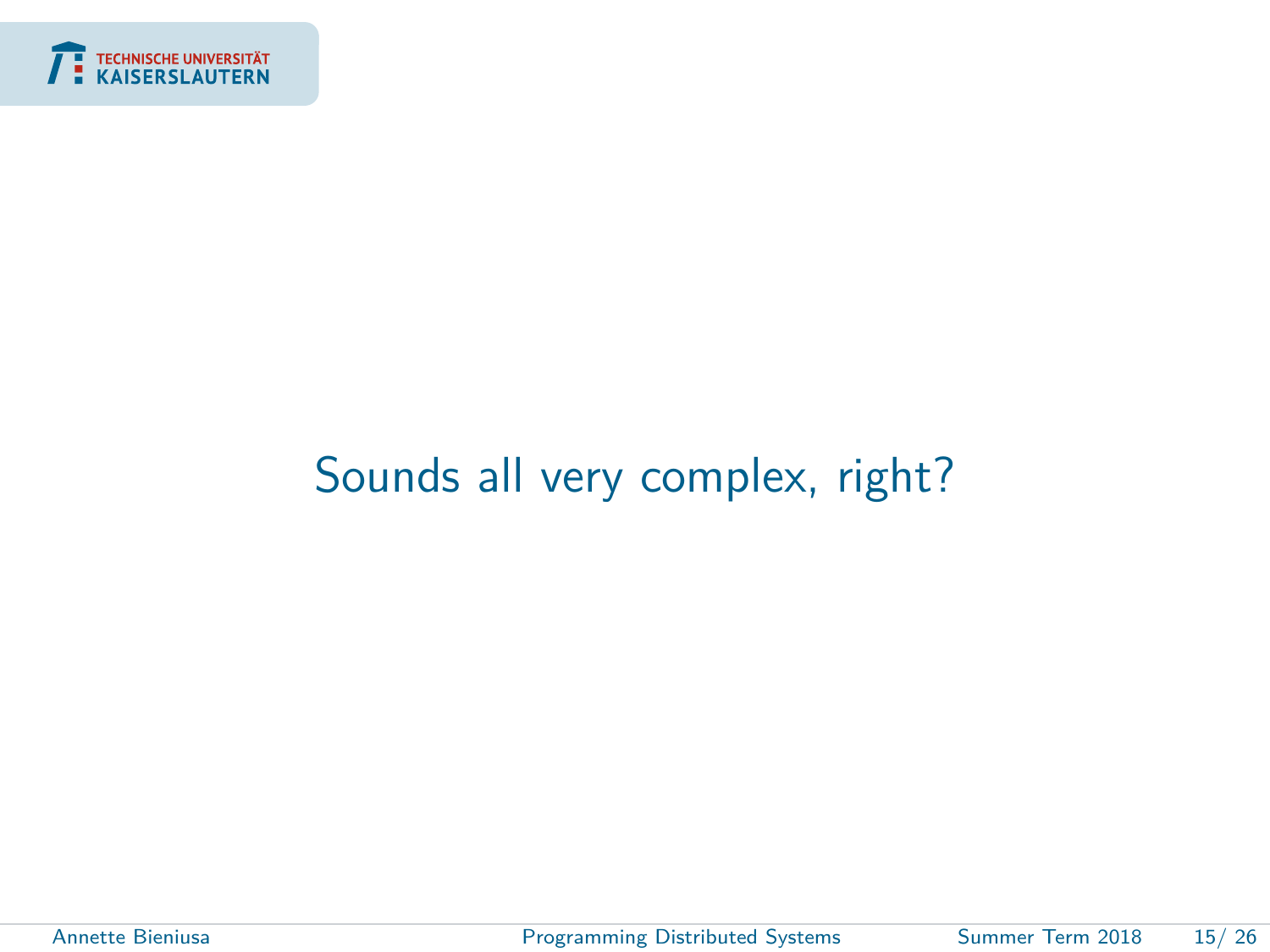<span id="page-14-0"></span>

### [Sounds all very complex, right?](#page-14-0)

÷

Annette Bieniusa **[Programming Distributed Systems](#page-0-0)** Summer Term 2018 15/26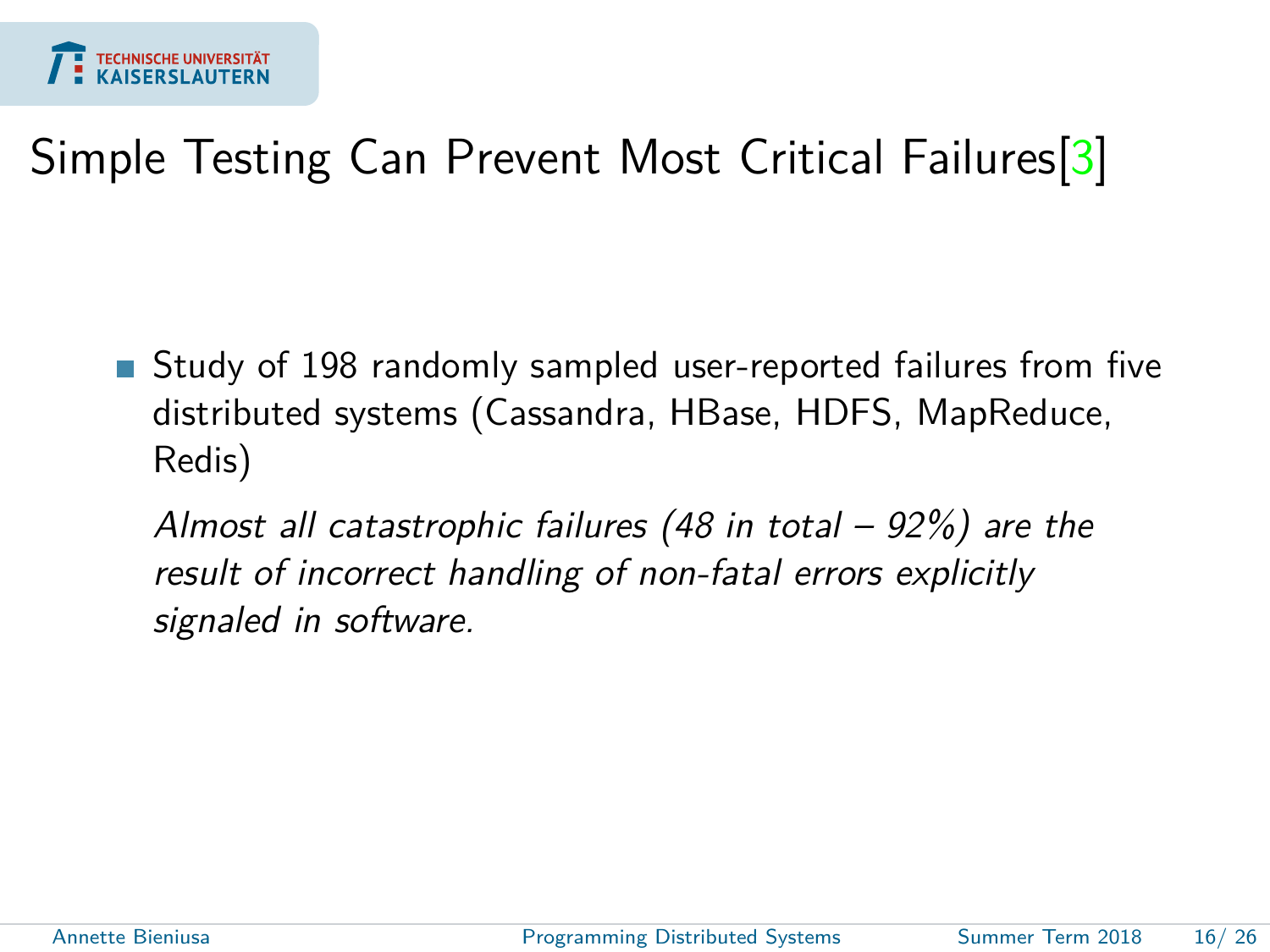

## Simple Testing Can Prevent Most Critical Failures<sup>[\[3\]](#page-25-1)</sup>

Study of 198 randomly sampled user-reported failures from five distributed systems (Cassandra, HBase, HDFS, MapReduce, Redis)

Almost all catastrophic failures (48 in total – 92%) are the result of incorrect handling of non-fatal errors explicitly signaled in software.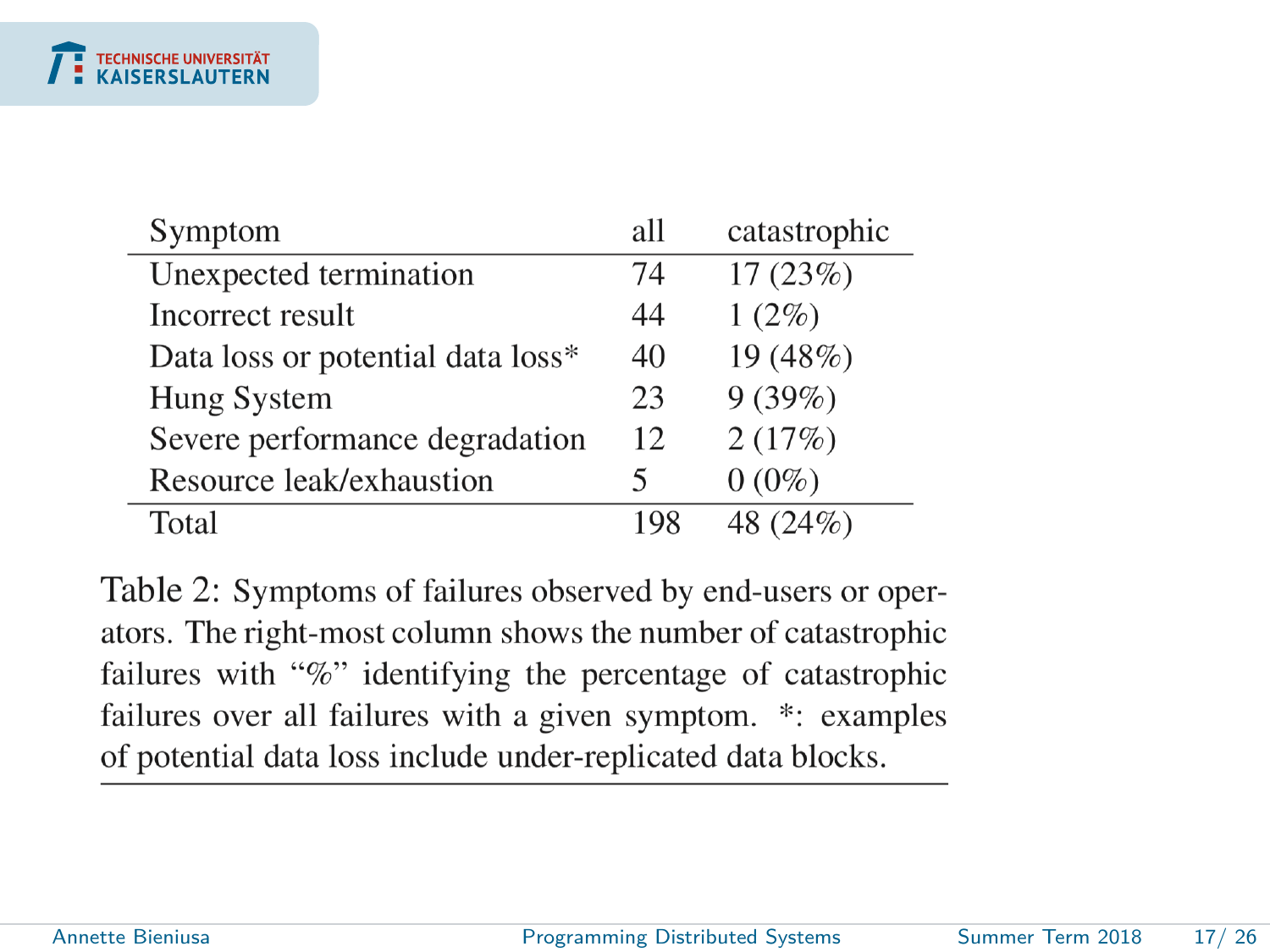| Symptom                           | all | catastrophic |
|-----------------------------------|-----|--------------|
| Unexpected termination            | 74  | 17(23%)      |
| Incorrect result                  | 44  | $1(2\%)$     |
| Data loss or potential data loss* | 40  | 19 (48%)     |
| Hung System                       | 23  | 9(39%)       |
| Severe performance degradation    | 12  | 2(17%)       |
| Resource leak/exhaustion          | 5   | $0(0\%)$     |
| Total                             | 198 | 48 (24%)     |

Table 2: Symptoms of failures observed by end-users or operators. The right-most column shows the number of catastrophic failures with "%" identifying the percentage of catastrophic failures over all failures with a given symptom. \*: examples of potential data loss include under-replicated data blocks.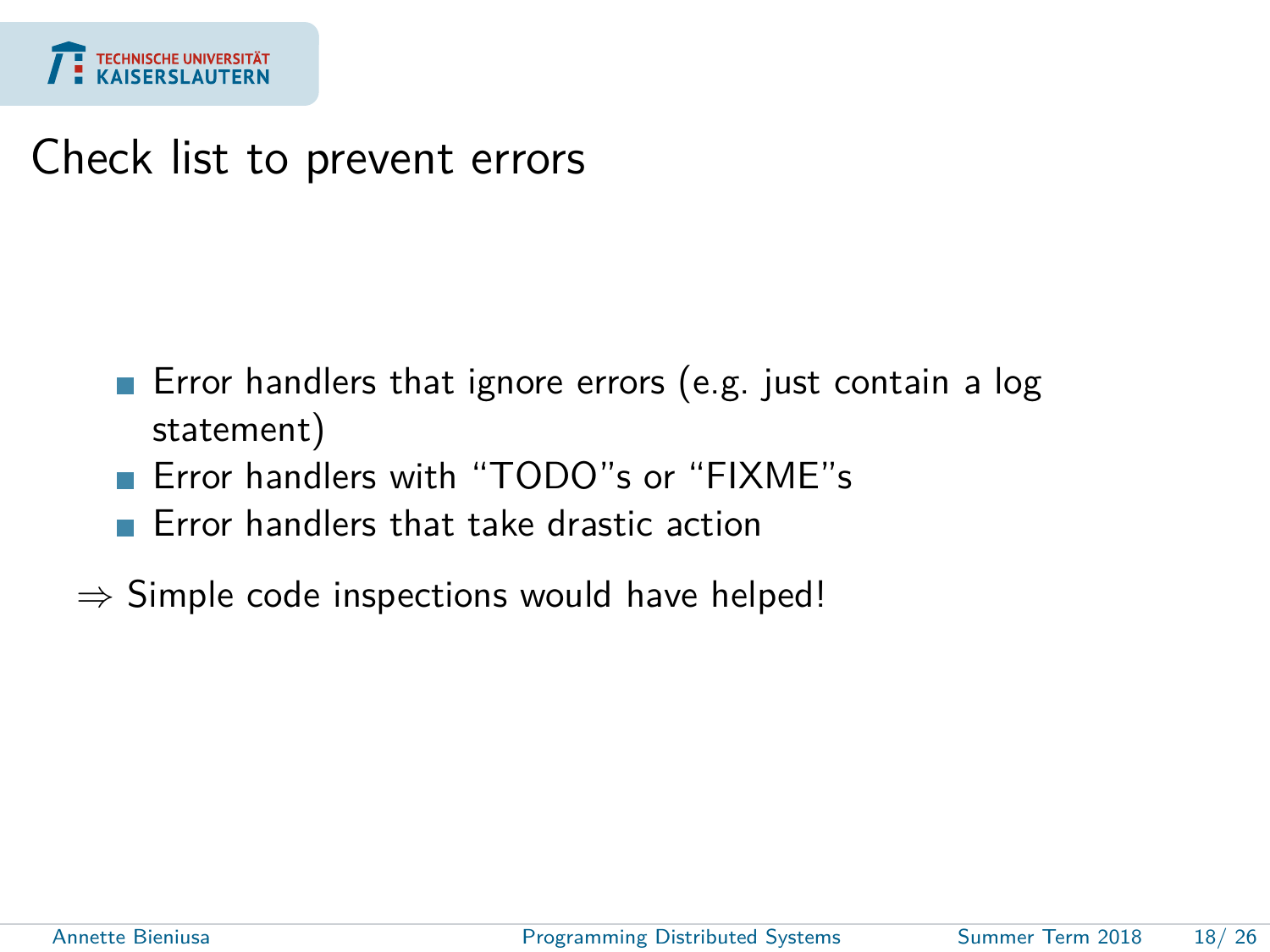

#### Check list to prevent errors

- Error handlers that ignore errors (e.g. just contain a log  $\mathcal{L}_{\mathcal{A}}$ statement)
- Error handlers with "TODO"s or "FIXME"s
- Error handlers that take drastic action
- $\Rightarrow$  Simple code inspections would have helped!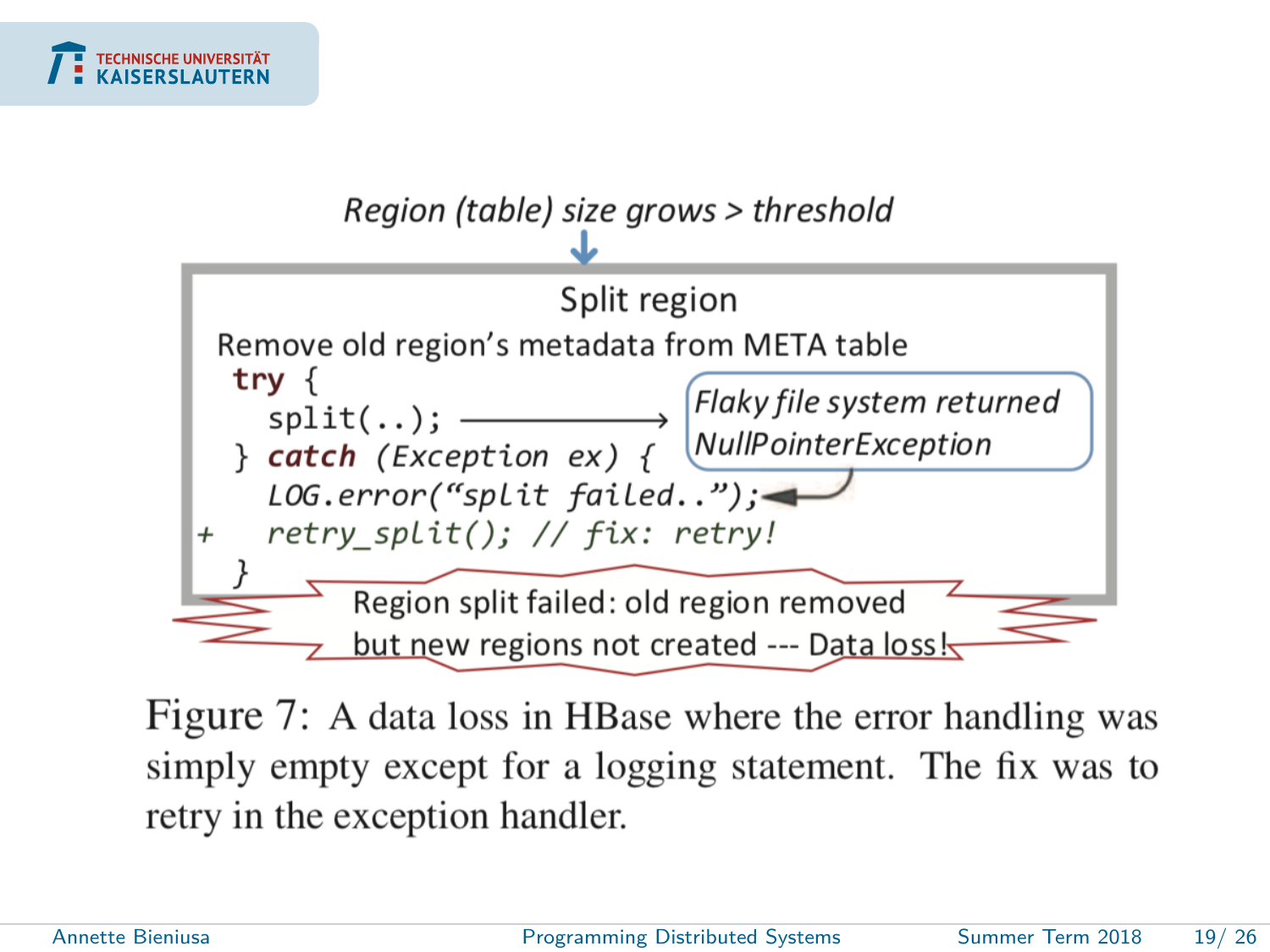



Figure 7: A data loss in HBase where the error handling was simply empty except for a logging statement. The fix was to retry in the exception handler.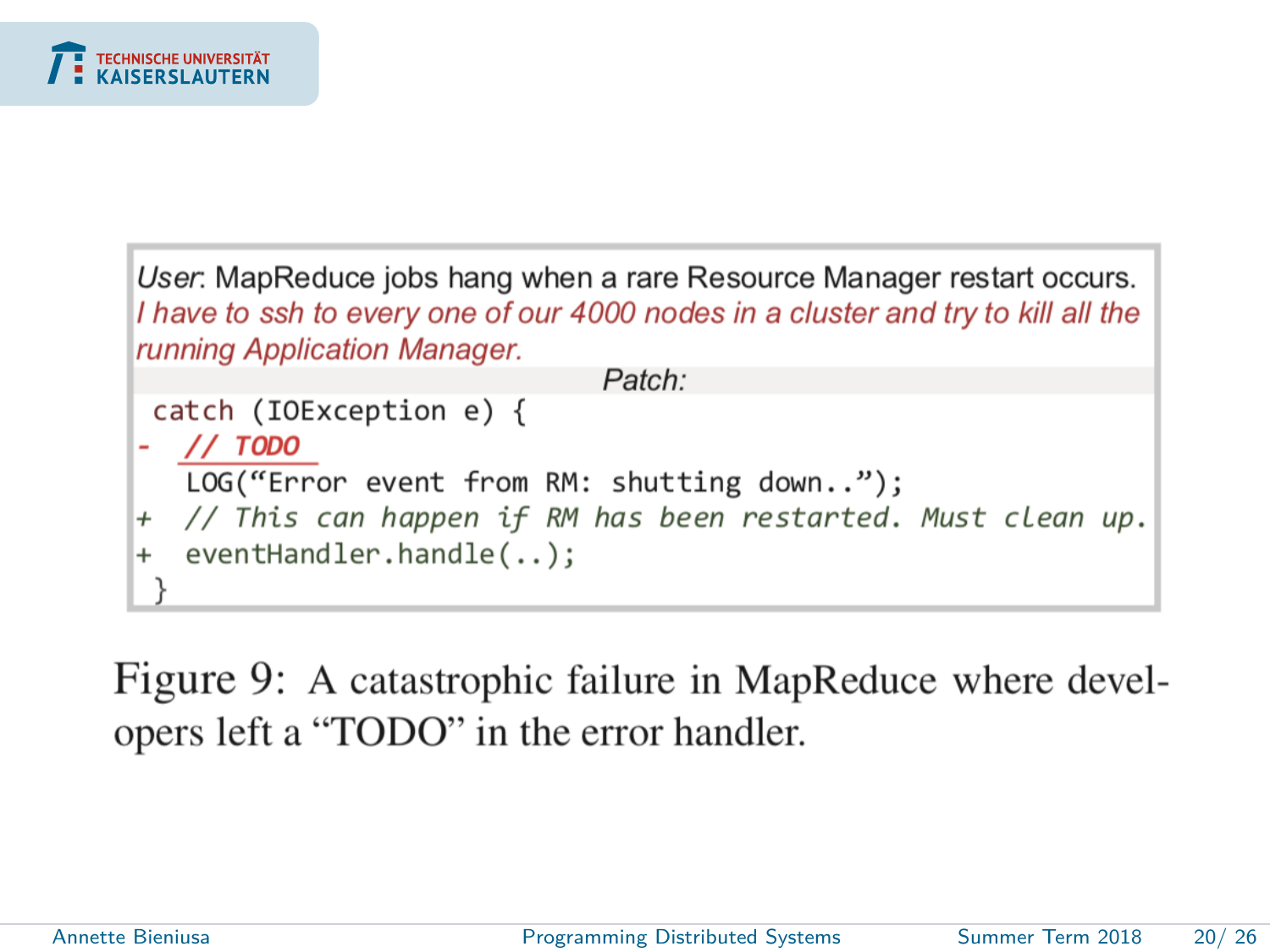

User: MapReduce jobs hang when a rare Resource Manager restart occurs. I have to ssh to every one of our 4000 nodes in a cluster and try to kill all the running Application Manager. Patch:

```
catch (IOException e) { }- // TODO
  LOG("Error event from RM: shutting down..");
+ // This can happen if RM has been restarted. Must clean up.
 eventHandler.handle(..);
+
```
Figure 9: A catastrophic failure in MapReduce where developers left a "TODO" in the error handler.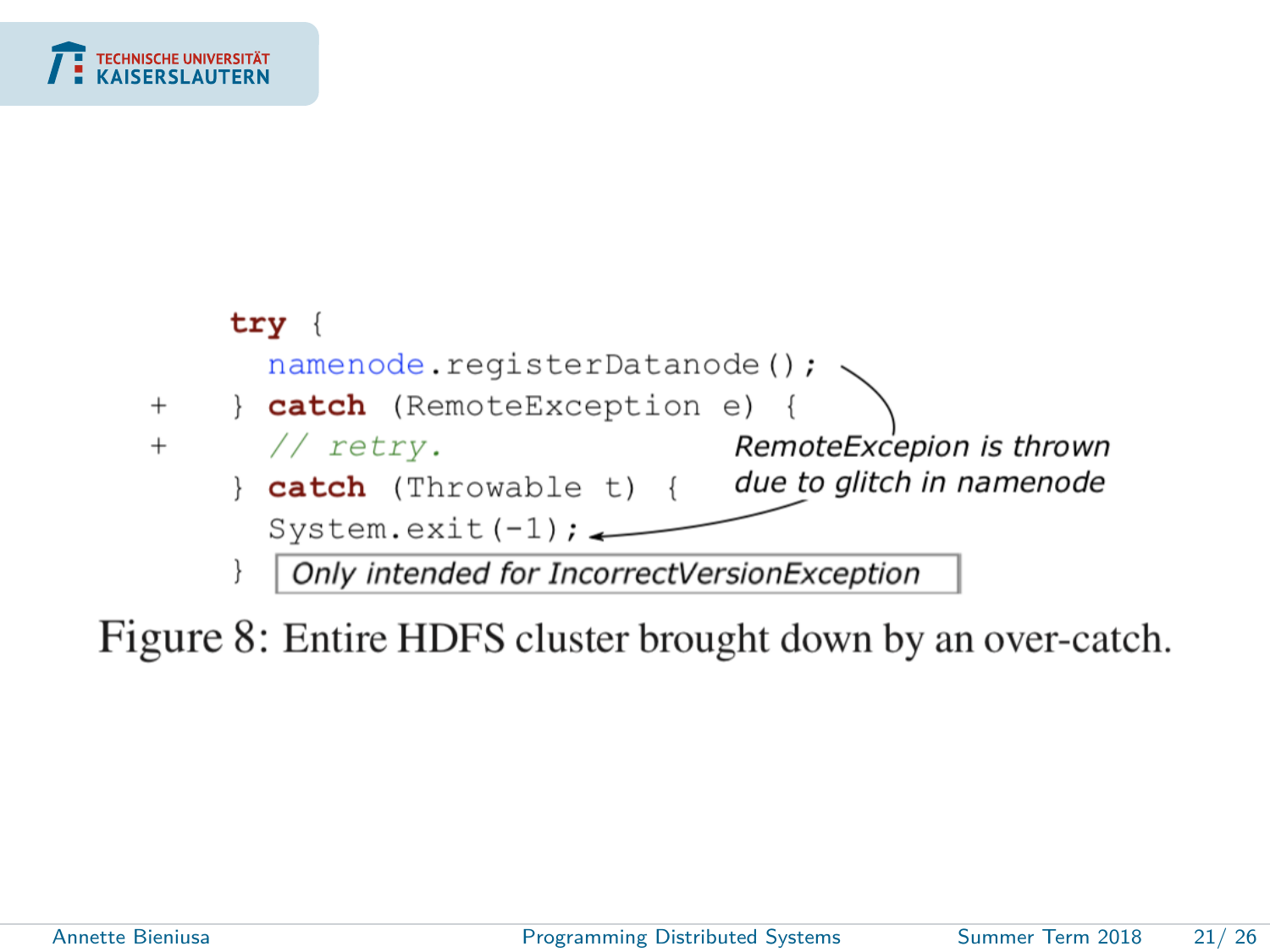

Figure 8: Entire HDFS cluster brought down by an over-catch.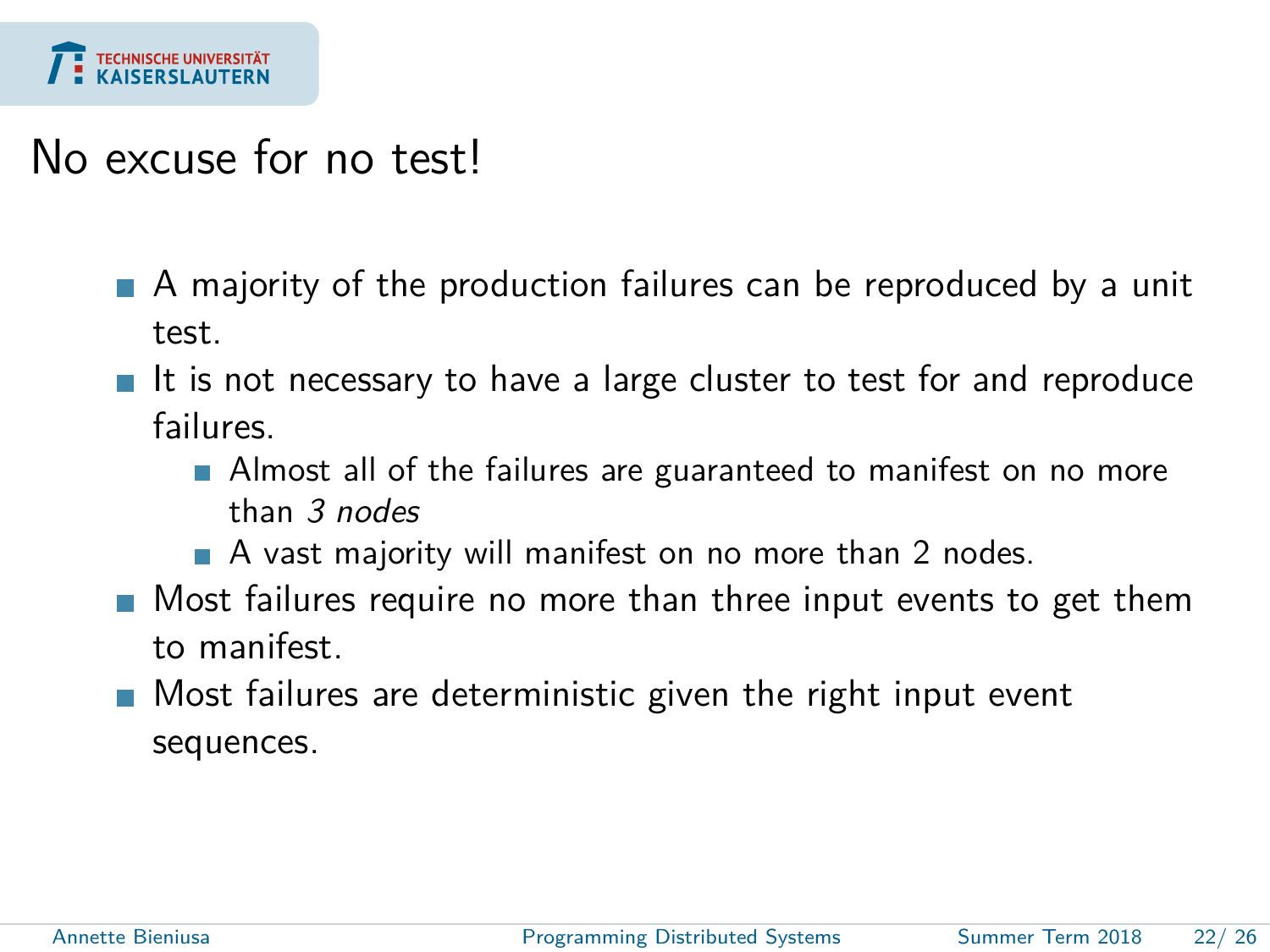

#### No excuse for no test!

- A majority of the production failures can be reproduced by a unit test.
- $\blacksquare$  It is not necessary to have a large cluster to test for and reproduce failures.
	- **Almost all of the failures are guaranteed to manifest on no more** than 3 nodes
	- A vast majority will manifest on no more than 2 nodes.
- **Most failures require no more than three input events to get them** to manifest.
- **Most failures are deterministic given the right input event** sequences.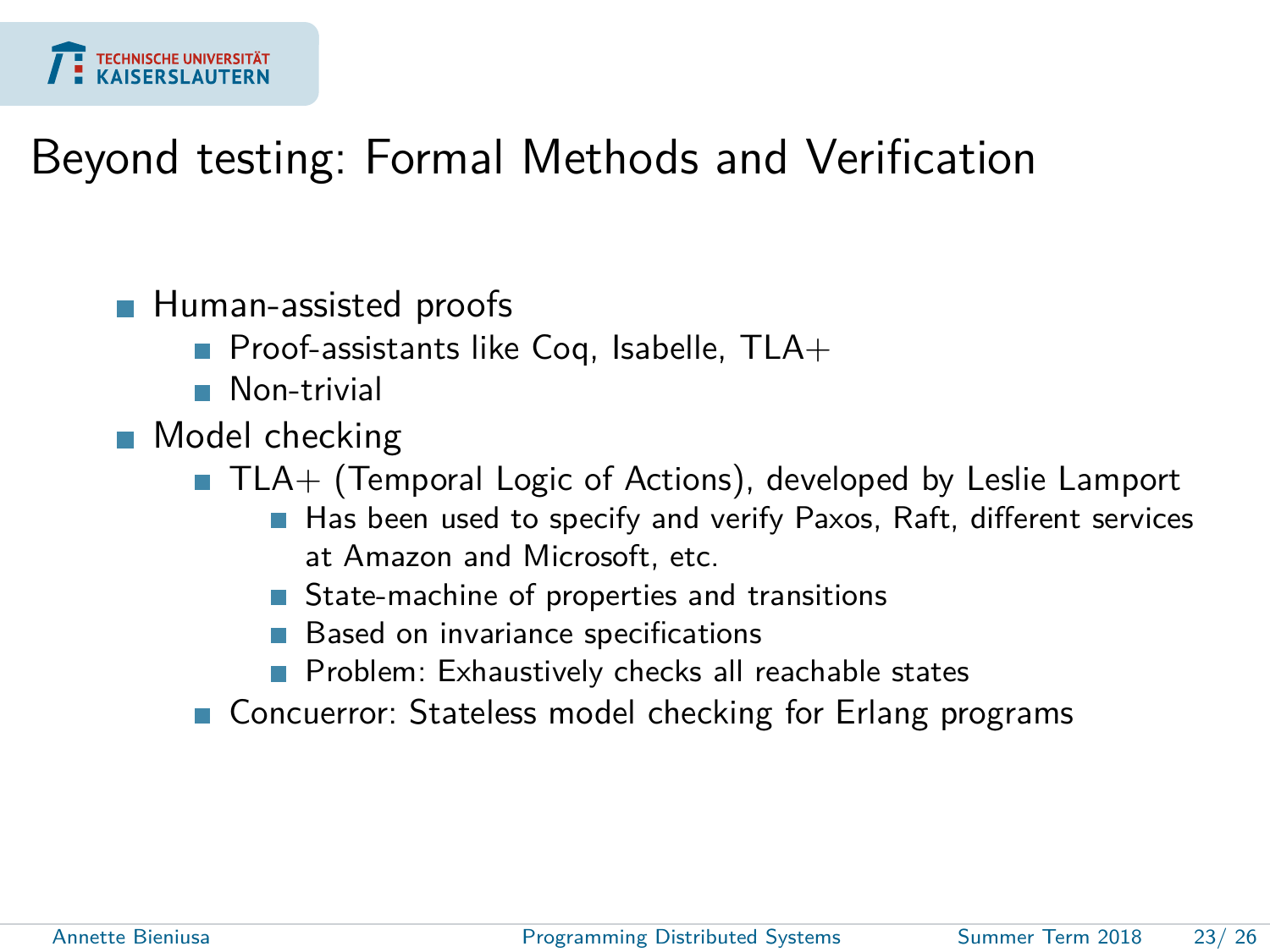

#### Beyond testing: Formal Methods and Verification

#### **Human-assisted proofs**

- Proof-assistants like Coq, Isabelle,  $TLA+$
- **Non-trivial**
- **Model checking** 
	- $\blacksquare$  TLA+ (Temporal Logic of Actions), developed by Leslie Lamport
		- Has been used to specify and verify Paxos, Raft, different services at Amazon and Microsoft, etc.
		- State-machine of properties and transitions
		- Based on invariance specifications
		- Problem: Exhaustively checks all reachable states
	- Concuerror: Stateless model checking for Erlang programs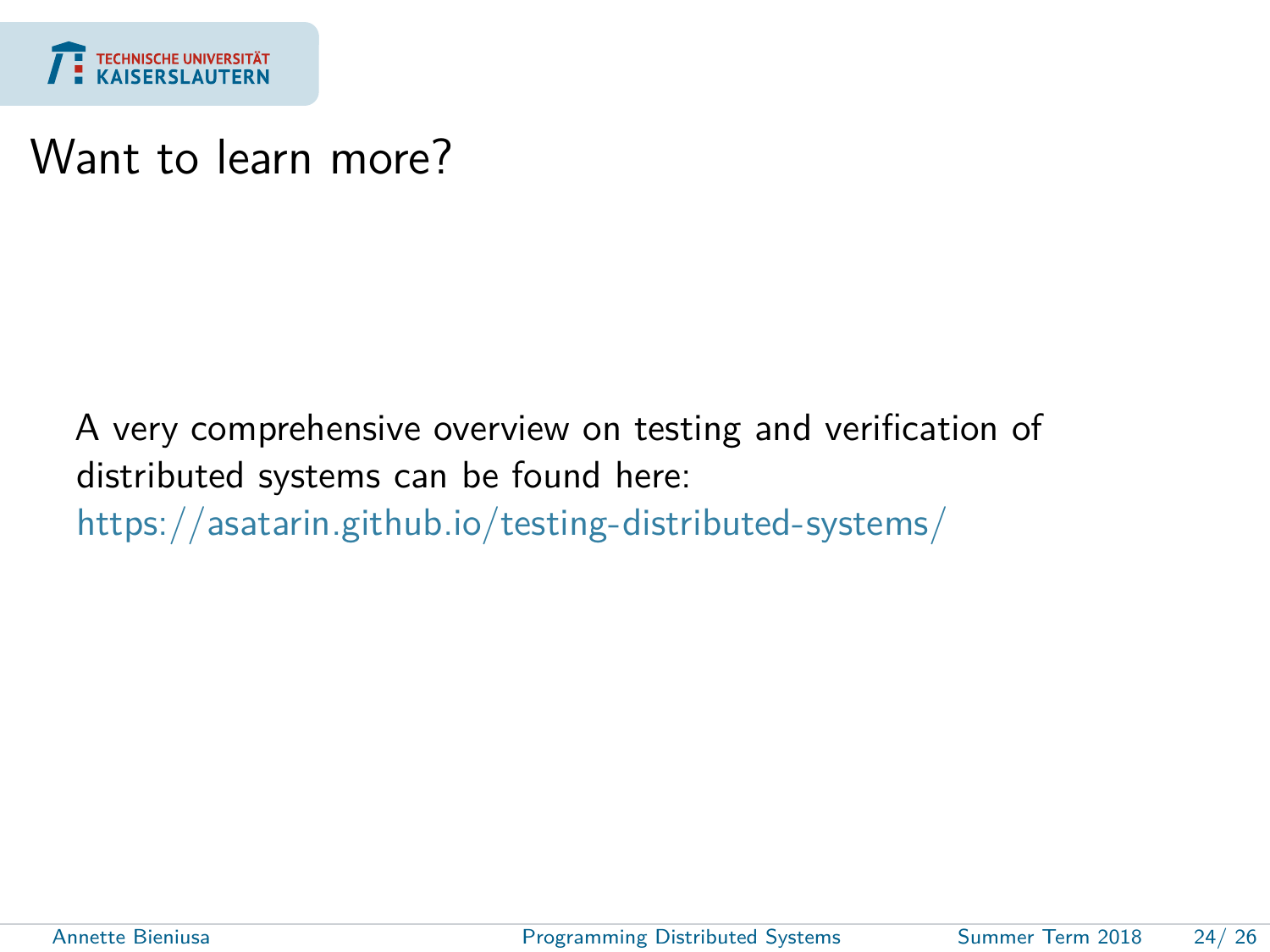

#### Want to learn more?

A very comprehensive overview on testing and verification of distributed systems can be found here: <https://asatarin.github.io/testing-distributed-systems/>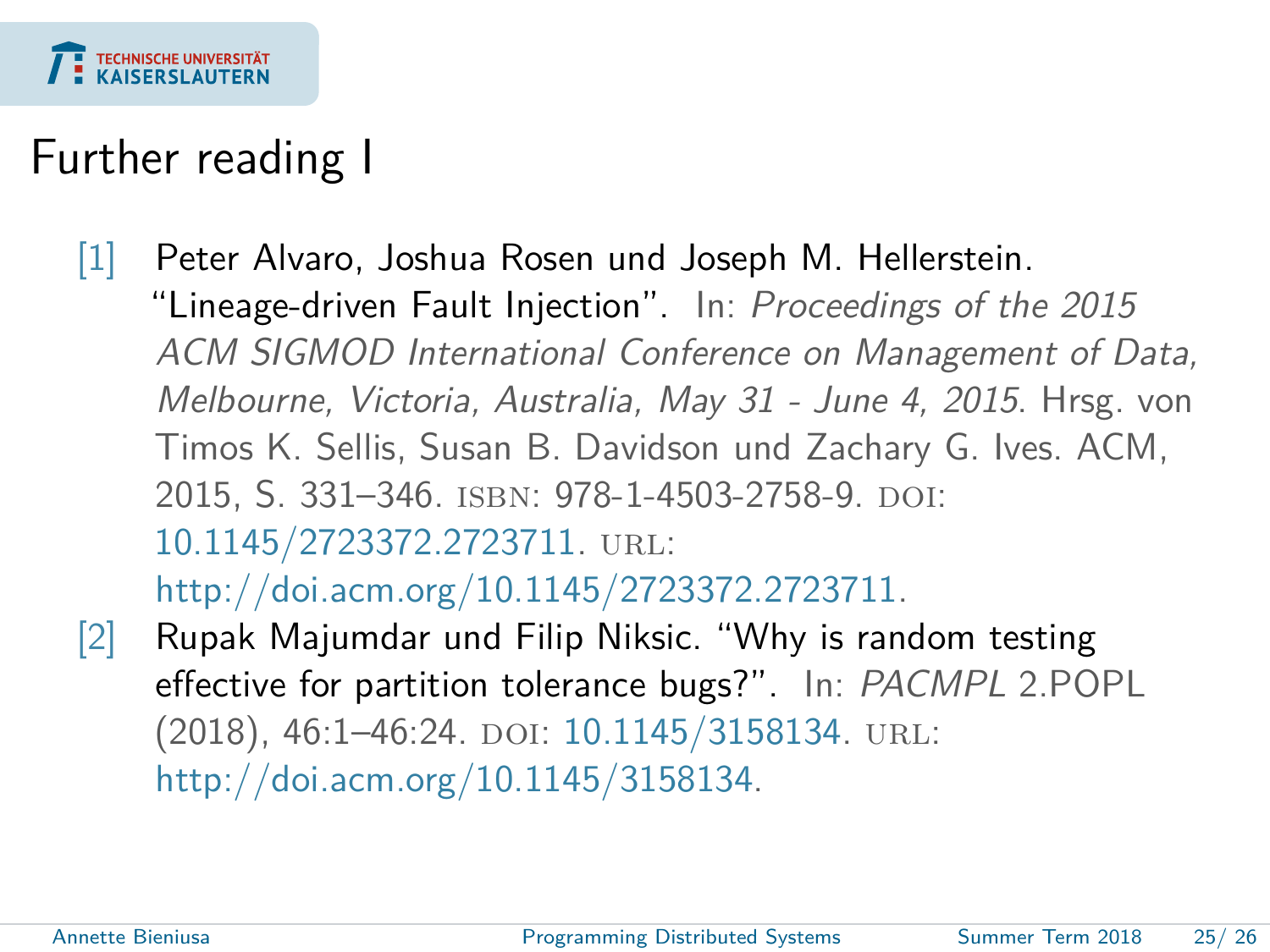

### Further reading I

- <span id="page-24-1"></span>[1] Peter Alvaro, Joshua Rosen und Joseph M. Hellerstein. "Lineage-driven Fault Injection". In: Proceedings of the 2015 ACM SIGMOD International Conference on Management of Data, Melbourne, Victoria, Australia, May 31 - June 4, 2015. Hrsg. von Timos K. Sellis, Susan B. Davidson und Zachary G. Ives. ACM, 2015, S. 331-346. ISBN: 978-1-4503-2758-9. doi: [10.1145/2723372.2723711.](https://doi.org/10.1145/2723372.2723711) url: [http://doi.acm.org/10.1145/2723372.2723711.](http://doi.acm.org/10.1145/2723372.2723711)
- <span id="page-24-0"></span>[2] Rupak Majumdar und Filip Niksic. "Why is random testing effective for partition tolerance bugs?". In: PACMPL 2.POPL (2018), 46:1-46:24. DOI: [10.1145/3158134.](https://doi.org/10.1145/3158134) URL: [http://doi.acm.org/10.1145/3158134.](http://doi.acm.org/10.1145/3158134)